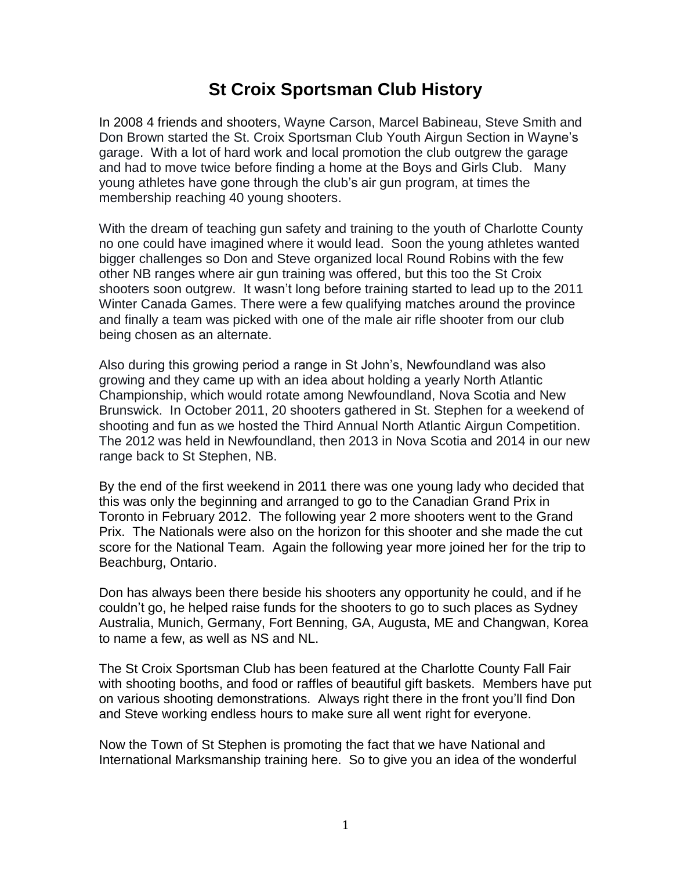# **St Croix Sportsman Club History**

In 2008 4 friends and shooters, Wayne Carson, Marcel Babineau, Steve Smith and Don Brown started the St. Croix Sportsman Club Youth Airgun Section in Wayne's garage. With a lot of hard work and local promotion the club outgrew the garage and had to move twice before finding a home at the Boys and Girls Club. Many young athletes have gone through the club's air gun program, at times the membership reaching 40 young shooters.

With the dream of teaching gun safety and training to the youth of Charlotte County no one could have imagined where it would lead. Soon the young athletes wanted bigger challenges so Don and Steve organized local Round Robins with the few other NB ranges where air gun training was offered, but this too the St Croix shooters soon outgrew. It wasn't long before training started to lead up to the 2011 Winter Canada Games. There were a few qualifying matches around the province and finally a team was picked with one of the male air rifle shooter from our club being chosen as an alternate.

Also during this growing period a range in St John's, Newfoundland was also growing and they came up with an idea about holding a yearly North Atlantic Championship, which would rotate among Newfoundland, Nova Scotia and New Brunswick. In October 2011, 20 shooters gathered in St. Stephen for a weekend of shooting and fun as we hosted the Third Annual North Atlantic Airgun Competition. The 2012 was held in Newfoundland, then 2013 in Nova Scotia and 2014 in our new range back to St Stephen, NB.

By the end of the first weekend in 2011 there was one young lady who decided that this was only the beginning and arranged to go to the Canadian Grand Prix in Toronto in February 2012. The following year 2 more shooters went to the Grand Prix. The Nationals were also on the horizon for this shooter and she made the cut score for the National Team. Again the following year more joined her for the trip to Beachburg, Ontario.

Don has always been there beside his shooters any opportunity he could, and if he couldn't go, he helped raise funds for the shooters to go to such places as Sydney Australia, Munich, Germany, Fort Benning, GA, Augusta, ME and Changwan, Korea to name a few, as well as NS and NL.

The St Croix Sportsman Club has been featured at the Charlotte County Fall Fair with shooting booths, and food or raffles of beautiful gift baskets. Members have put on various shooting demonstrations. Always right there in the front you'll find Don and Steve working endless hours to make sure all went right for everyone.

Now the Town of St Stephen is promoting the fact that we have National and International Marksmanship training here. So to give you an idea of the wonderful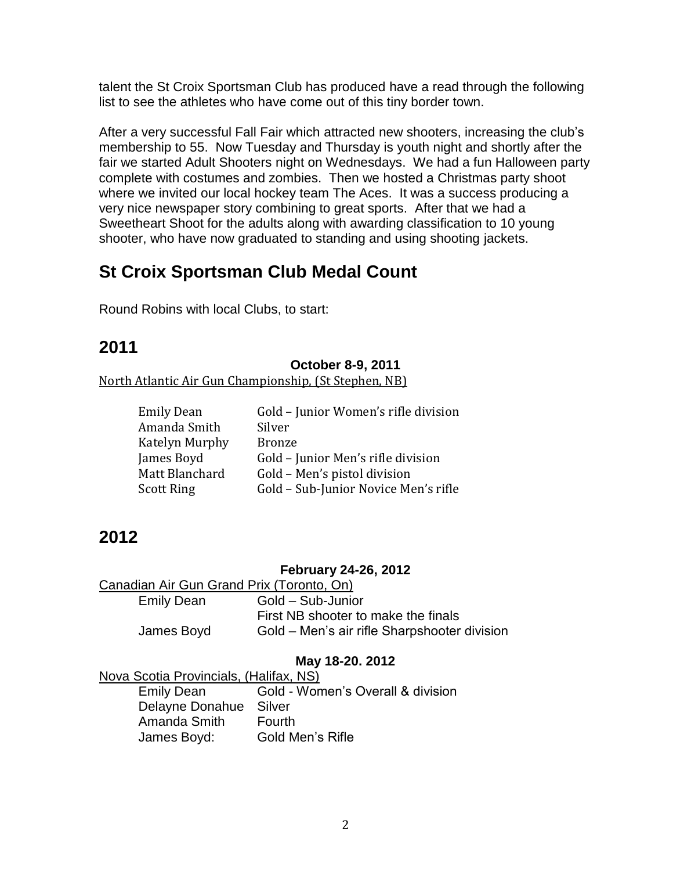talent the St Croix Sportsman Club has produced have a read through the following list to see the athletes who have come out of this tiny border town.

After a very successful Fall Fair which attracted new shooters, increasing the club's membership to 55. Now Tuesday and Thursday is youth night and shortly after the fair we started Adult Shooters night on Wednesdays. We had a fun Halloween party complete with costumes and zombies. Then we hosted a Christmas party shoot where we invited our local hockey team The Aces. It was a success producing a very nice newspaper story combining to great sports. After that we had a Sweetheart Shoot for the adults along with awarding classification to 10 young shooter, who have now graduated to standing and using shooting jackets.

# **St Croix Sportsman Club Medal Count**

Round Robins with local Clubs, to start:

# **2011**

## **October 8-9, 2011**

North Atlantic Air Gun Championship, (St Stephen, NB)

| <b>Emily Dean</b> | Gold - Junior Women's rifle division |
|-------------------|--------------------------------------|
| Amanda Smith      | Silver                               |
| Katelyn Murphy    | <b>Bronze</b>                        |
| James Boyd        | Gold - Junior Men's rifle division   |
| Matt Blanchard    | Gold – Men's pistol division         |
| <b>Scott Ring</b> | Gold - Sub-Junior Novice Men's rifle |

# **2012**

## **February 24-26, 2012**

| Canadian Air Gun Grand Prix (Toronto, On) |                                              |
|-------------------------------------------|----------------------------------------------|
| <b>Emily Dean</b>                         | Gold – Sub-Junior                            |
|                                           | First NB shooter to make the finals          |
| James Boyd                                | Gold – Men's air rifle Sharpshooter division |

# **May 18-20. 2012**

|                                        | $\bigcap$ and $\bigcap$ $\bigcap$ $\bigcap$ |  |
|----------------------------------------|---------------------------------------------|--|
| Nova Scotia Provincials, (Halifax, NS) |                                             |  |

| <b>Emily Dean</b> | Gold - Women's Overall & division |
|-------------------|-----------------------------------|
| Delayne Donahue   | Silver                            |
| Amanda Smith      | <b>Fourth</b>                     |
| James Boyd:       | <b>Gold Men's Rifle</b>           |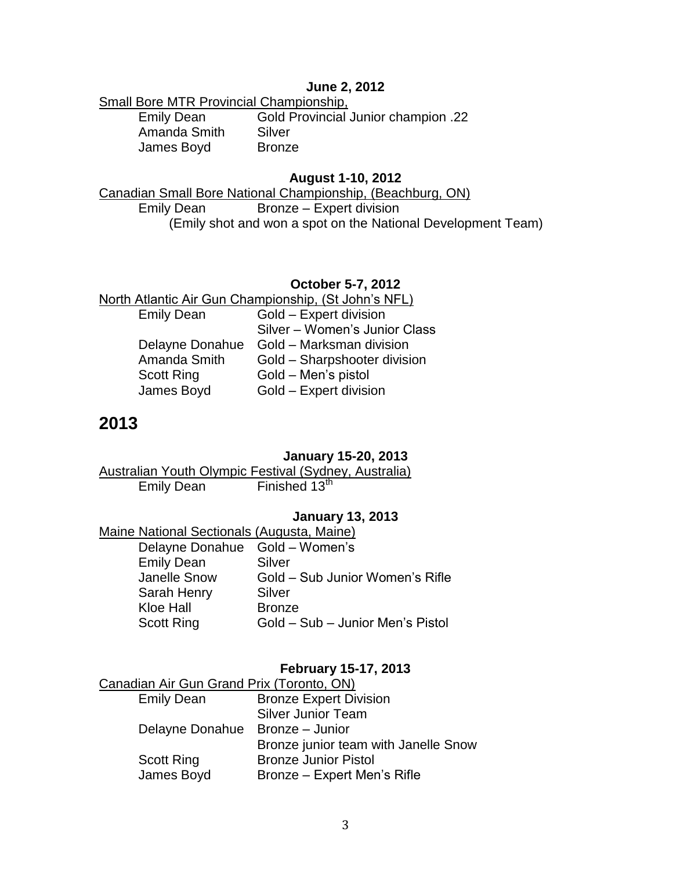## **June 2, 2012**

Small Bore MTR Provincial Championship,

Emily Dean Gold Provincial Junior champion .22 Amanda Smith Silver James Boyd Bronze

#### **August 1-10, 2012**

Canadian Small Bore National Championship, (Beachburg, ON)

Emily Dean Bronze – Expert division (Emily shot and won a spot on the National Development Team)

## **October 5-7, 2012**

North Atlantic Air Gun Championship, (St John's NFL) Emily Dean Gold – Expert division Silver – Women's Junior Class Delayne Donahue Gold – Marksman division Amanda Smith Gold – Sharpshooter division Scott Ring Gold – Men's pistol James Boyd Gold – Expert division

# **2013**

## **January 15-20, 2013**

Australian Youth Olympic Festival (Sydney, Australia) Emily Dean Finished  $13<sup>th</sup>$ 

#### **January 13, 2013**

#### Maine National Sectionals (Augusta, Maine)

| Delayne Donahue   | Gold – Women's                   |
|-------------------|----------------------------------|
| <b>Emily Dean</b> | Silver                           |
| Janelle Snow      | Gold – Sub Junior Women's Rifle  |
| Sarah Henry       | Silver                           |
| <b>Kloe Hall</b>  | <b>Bronze</b>                    |
| <b>Scott Ring</b> | Gold - Sub - Junior Men's Pistol |
|                   |                                  |

#### **February 15-17, 2013**

| Canadian Air Gun Grand Prix (Toronto, ON) |                                      |
|-------------------------------------------|--------------------------------------|
| <b>Emily Dean</b>                         | <b>Bronze Expert Division</b>        |
|                                           | <b>Silver Junior Team</b>            |
| Delayne Donahue                           | Bronze – Junior                      |
|                                           | Bronze junior team with Janelle Snow |
| <b>Scott Ring</b>                         | <b>Bronze Junior Pistol</b>          |
| James Boyd                                | Bronze – Expert Men's Rifle          |
|                                           |                                      |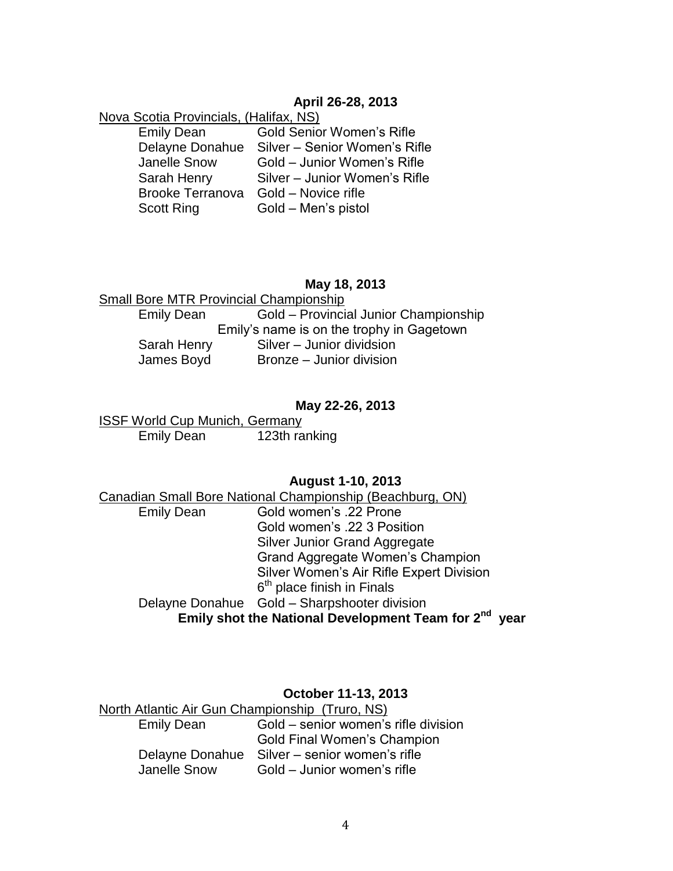# **April 26-28, 2013**

Nova Scotia Provincials, (Halifax, NS)

| <b>Gold Senior Women's Rifle</b> |
|----------------------------------|
| Silver - Senior Women's Rifle    |
| Gold - Junior Women's Rifle      |
| Silver - Junior Women's Rifle    |
| Gold - Novice rifle              |
| Gold - Men's pistol              |
|                                  |

## **May 18, 2013**

|                   | <b>Small Bore MTR Provincial Championship</b> |
|-------------------|-----------------------------------------------|
| <b>Emily Dean</b> | Gold - Provincial Junior Championship         |
|                   | Emily's name is on the trophy in Gagetown     |
| Sarah Henry       | Silver - Junior dividsion                     |
| James Boyd        | Bronze - Junior division                      |
|                   |                                               |

# **May 22-26, 2013**

**ISSF World Cup Munich, Germany**<br>Emily Dean 123th ra 123th ranking

# **August 1-10, 2013**

| Canadian Small Bore National Championship (Beachburg, ON)         |
|-------------------------------------------------------------------|
| Gold women's .22 Prone                                            |
| Gold women's .22 3 Position                                       |
| <b>Silver Junior Grand Aggregate</b>                              |
| Grand Aggregate Women's Champion                                  |
| Silver Women's Air Rifle Expert Division                          |
| 6 <sup>th</sup> place finish in Finals                            |
| Delayne Donahue Gold - Sharpshooter division                      |
| Emily shot the National Development Team for 2 <sup>nd</sup> year |
|                                                                   |

# **October 11-13, 2013**

North Atlantic Air Gun Championship (Truro, NS) Emily Dean Gold – senior women's rifle division Gold Final Women's Champion Delayne Donahue Silver – senior women's rifle Gold – Junior women's rifle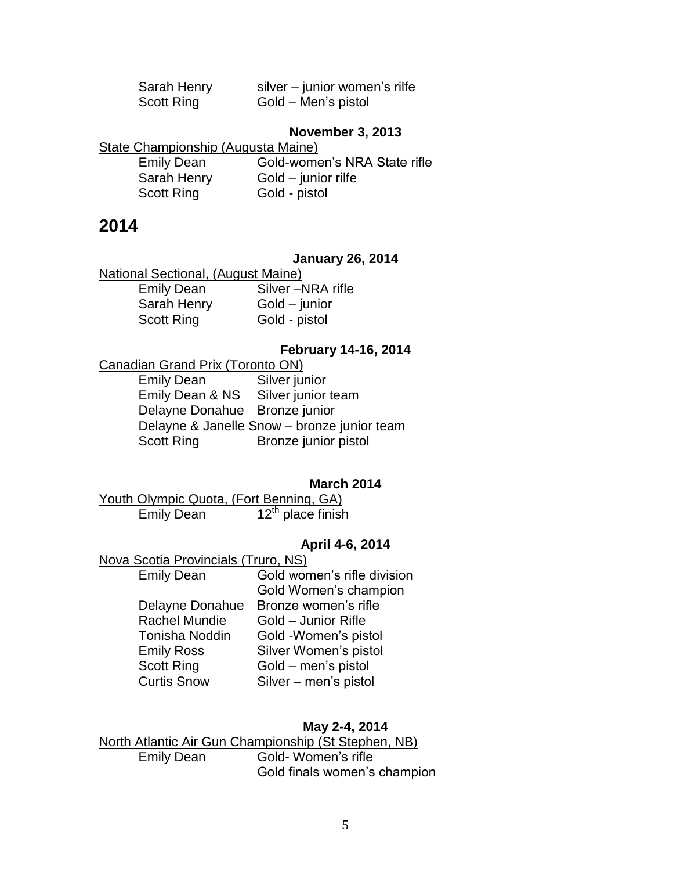| Sarah Henry | silver – junior women's rilfe |
|-------------|-------------------------------|
| Scott Ring  | Gold – Men's pistol           |

#### **November 3, 2013**

State Championship (Augusta Maine)

| <b>Emily Dean</b> | Gold-women's NRA State rifle |
|-------------------|------------------------------|
| Sarah Henry       | Gold – junior rilfe          |
| <b>Scott Ring</b> | Gold - pistol                |

# **2014**

## **January 26, 2014**

National Sectional, (August Maine)

| <b>Emily Dean</b> | Silver-NRA rifle |
|-------------------|------------------|
| Sarah Henry       | Gold – junior    |
| <b>Scott Ring</b> | Gold - pistol    |

#### **February 14-16, 2014**

Canadian Grand Prix (Toronto ON)

Emily Dean Silver junior Emily Dean & NS Silver junior team Delayne Donahue Bronze junior Delayne & Janelle Snow – bronze junior team<br>Scott Ring Bronze junior pistol Bronze junior pistol

## **March 2014**

Youth Olympic Quota, (Fort Benning, GA)<br>Emily Dean 12<sup>th</sup> place finish  $12<sup>th</sup>$  place finish

# **April 4-6, 2014**

Nova Scotia Provincials (Truro, NS) Emily Dean Gold women's rifle division

| <b>EITHIV Dean</b>    | GOIG WOMEN'S MILE GIVISION |
|-----------------------|----------------------------|
|                       | Gold Women's champion      |
| Delayne Donahue       | Bronze women's rifle       |
| <b>Rachel Mundie</b>  | Gold - Junior Rifle        |
| <b>Tonisha Noddin</b> | Gold -Women's pistol       |
| <b>Emily Ross</b>     | Silver Women's pistol      |
| <b>Scott Ring</b>     | Gold - men's pistol        |
| <b>Curtis Snow</b>    | Silver - men's pistol      |
|                       |                            |

#### **May 2-4, 2014**

|                   | North Atlantic Air Gun Championship (St Stephen, NB) |
|-------------------|------------------------------------------------------|
| <b>Emily Dean</b> | Gold- Women's rifle                                  |
|                   | Gold finals women's champion                         |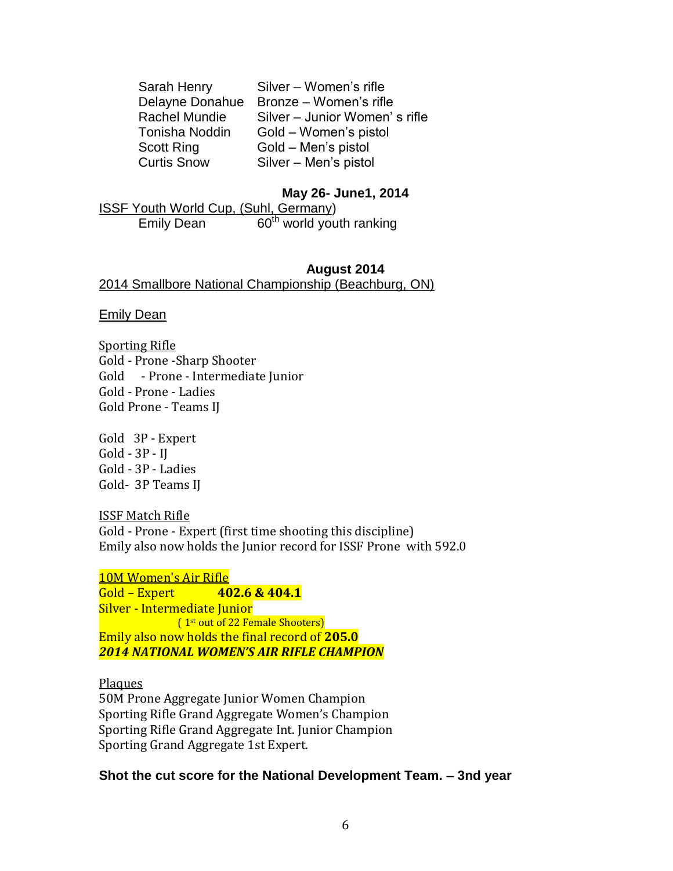Sarah Henry Silver – Women's rifle Delayne Donahue Bronze – Women's rifle Rachel Mundie Silver – Junior Women' s rifle Tonisha Noddin Gold – Women's pistol Scott Ring Gold – Men's pistol Curtis Snow Silver – Men's pistol

#### **May 26- June1, 2014**

ISSF Youth World Cup, (Suhl, Germany)  $E$ mily Dean  $60<sup>th</sup>$  world youth ranking

#### **August 2014**

2014 Smallbore National Championship (Beachburg, ON)

Emily Dean

Sporting Rifle Gold - Prone -Sharp Shooter Gold - Prone - Intermediate Junior Gold - Prone - Ladies Gold Prone - Teams IJ

Gold 3P - Expert Gold - 3P - IJ Gold - 3P - Ladies Gold- 3P Teams IJ

ISSF Match Rifle Gold - Prone - Expert (first time shooting this discipline) Emily also now holds the Junior record for ISSF Prone with 592.0

10M Women's Air Rifle Gold – Expert **402.6 & 404.1** Silver - Intermediate Junior ( 1st out of 22 Female Shooters) Emily also now holds the final record of **205.0**

*2014 NATIONAL WOMEN'S AIR RIFLE CHAMPION*

Plaques 50M Prone Aggregate Junior Women Champion Sporting Rifle Grand Aggregate Women's Champion Sporting Rifle Grand Aggregate Int. Junior Champion Sporting Grand Aggregate 1st Expert.

**Shot the cut score for the National Development Team. – 3nd year**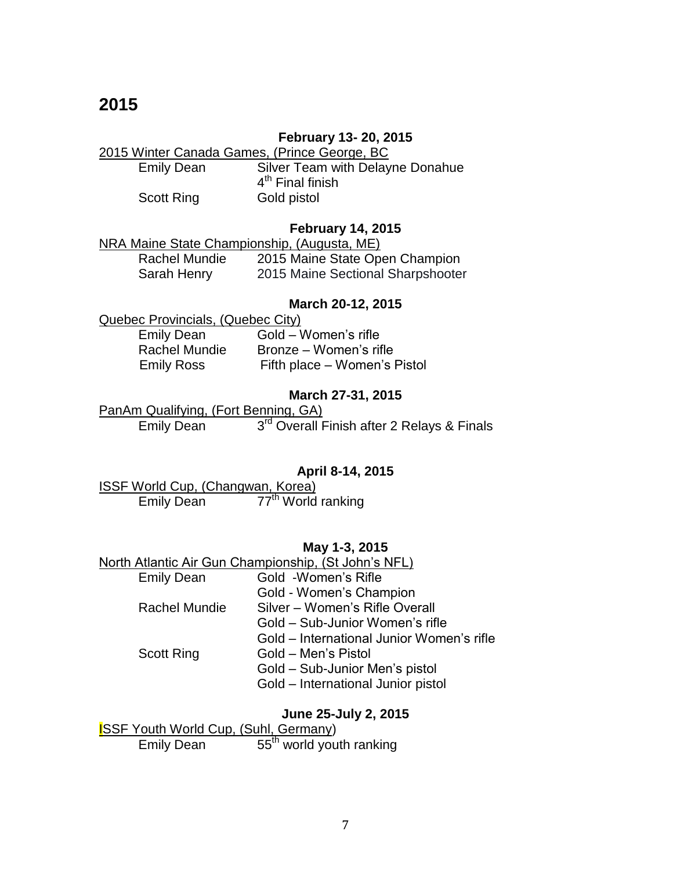# **2015**

## **February 13- 20, 2015**

2015 Winter Canada Games, (Prince George, BC<br>Emily Dean Silver Team with Delay Silver Team with Delayne Donahue 4<sup>th</sup> Final finish Scott Ring **Gold pistol** 

## **February 14, 2015**

| NRA Maine State Championship, (Augusta, ME) |                                   |  |
|---------------------------------------------|-----------------------------------|--|
| <b>Rachel Mundie</b>                        | 2015 Maine State Open Champion    |  |
| Sarah Henry                                 | 2015 Maine Sectional Sharpshooter |  |

#### **March 20-12, 2015**

| Quebec Provincials, (Quebec City) |                              |  |
|-----------------------------------|------------------------------|--|
| <b>Emily Dean</b>                 | Gold – Women's rifle         |  |
| <b>Rachel Mundie</b>              | Bronze – Women's rifle       |  |
| <b>Emily Ross</b>                 | Fifth place – Women's Pistol |  |

#### **March 27-31, 2015**

PanAm Qualifying, (Fort Benning, GA) Emily Dean 3  $3<sup>rd</sup>$  Overall Finish after 2 Relays & Finals

## **April 8-14, 2015**

|                   | ISSF World Cup, (Changwan, Korea) |
|-------------------|-----------------------------------|
| <b>Emily Dean</b> | 77 <sup>th</sup> World ranking    |

#### **May 1-3, 2015**

# North Atlantic Air Gun Championship, (St John's NFL)

| <b>Emily Dean</b>    | Gold -Women's Rifle                       |
|----------------------|-------------------------------------------|
|                      | Gold - Women's Champion                   |
| <b>Rachel Mundie</b> | Silver - Women's Rifle Overall            |
|                      | Gold – Sub-Junior Women's rifle           |
|                      | Gold – International Junior Women's rifle |
| <b>Scott Ring</b>    | Gold - Men's Pistol                       |
|                      | Gold – Sub-Junior Men's pistol            |
|                      | Gold - International Junior pistol        |
|                      |                                           |

### **June 25-July 2, 2015**

| <b>ISSF Youth World Cup, (Suhl, Germany)</b> |                                      |
|----------------------------------------------|--------------------------------------|
| <b>Emily Dean</b>                            | 55 <sup>th</sup> world youth ranking |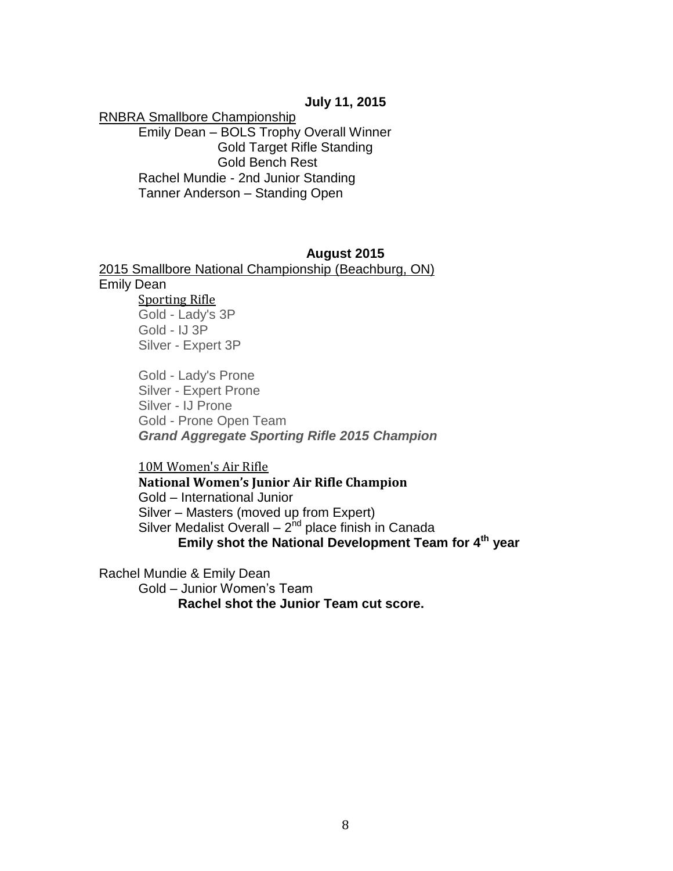RNBRA Smallbore Championship

Emily Dean – BOLS Trophy Overall Winner Gold Target Rifle Standing Gold Bench Rest Rachel Mundie - 2nd Junior Standing Tanner Anderson – Standing Open

#### **August 2015**

2015 Smallbore National Championship (Beachburg, ON) Emily Dean Sporting Rifle

Gold - Lady's 3P Gold - IJ 3P Silver - Expert 3P

Gold - Lady's Prone Silver - Expert Prone Silver - IJ Prone Gold - Prone Open Team *Grand Aggregate Sporting Rifle 2015 Champion*

10M Women's Air Rifle **National Women's Junior Air Rifle Champion** Gold – International Junior Silver – Masters (moved up from Expert) Silver Medalist Overall – 2<sup>nd</sup> place finish in Canada **Emily shot the National Development Team for 4th year**

Rachel Mundie & Emily Dean Gold – Junior Women's Team **Rachel shot the Junior Team cut score.**